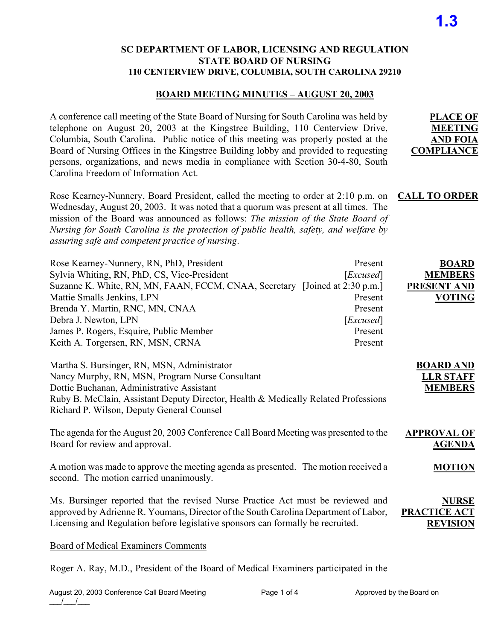**PLACE OF MEETING AND FOIA COMPLIANCE**

## **SC DEPARTMENT OF LABOR, LICENSING AND REGULATION STATE BOARD OF NURSING 110 CENTERVIEW DRIVE, COLUMBIA, SOUTH CAROLINA 29210**

## **BOARD MEETING MINUTES – AUGUST 20, 2003**

A conference call meeting of the State Board of Nursing for South Carolina was held by telephone on August 20, 2003 at the Kingstree Building, 110 Centerview Drive, Columbia, South Carolina. Public notice of this meeting was properly posted at the Board of Nursing Offices in the Kingstree Building lobby and provided to requesting persons, organizations, and news media in compliance with Section 30-4-80, South Carolina Freedom of Information Act.

Rose Kearney-Nunnery, Board President, called the meeting to order at 2:10 p.m. on Wednesday, August 20, 2003. It was noted that a quorum was present at all times. The mission of the Board was announced as follows: *The mission of the State Board of Nursing for South Carolina is the protection of public health, safety, and welfare by assuring safe and competent practice of nursing*. **CALL TO ORDER**

| Rose Kearney-Nunnery, RN, PhD, President                                                                                                                                                                                                                                       | Present            | <b>BOARD</b>                                           |
|--------------------------------------------------------------------------------------------------------------------------------------------------------------------------------------------------------------------------------------------------------------------------------|--------------------|--------------------------------------------------------|
| Sylvia Whiting, RN, PhD, CS, Vice-President                                                                                                                                                                                                                                    | [ <i>Excused</i> ] | <b>MEMBERS</b>                                         |
| Suzanne K. White, RN, MN, FAAN, FCCM, CNAA, Secretary [Joined at 2:30 p.m.]                                                                                                                                                                                                    |                    | PRESENT AND                                            |
| Mattie Smalls Jenkins, LPN                                                                                                                                                                                                                                                     | Present            | <b>VOTING</b>                                          |
| Brenda Y. Martin, RNC, MN, CNAA                                                                                                                                                                                                                                                | Present            |                                                        |
| Debra J. Newton, LPN                                                                                                                                                                                                                                                           | [ <i>Excused</i> ] |                                                        |
| James P. Rogers, Esquire, Public Member                                                                                                                                                                                                                                        | Present            |                                                        |
| Keith A. Torgersen, RN, MSN, CRNA                                                                                                                                                                                                                                              | Present            |                                                        |
| Martha S. Bursinger, RN, MSN, Administrator<br>Nancy Murphy, RN, MSN, Program Nurse Consultant<br>Dottie Buchanan, Administrative Assistant<br>Ruby B. McClain, Assistant Deputy Director, Health & Medically Related Professions<br>Richard P. Wilson, Deputy General Counsel |                    | <b>BOARD AND</b><br><b>LLR STAFF</b><br><b>MEMBERS</b> |
| The agenda for the August 20, 2003 Conference Call Board Meeting was presented to the<br>Board for review and approval.                                                                                                                                                        |                    | <b>APPROVAL OF</b><br><b>AGENDA</b>                    |
| A motion was made to approve the meeting agenda as presented. The motion received a<br>second. The motion carried unanimously.                                                                                                                                                 |                    | <b>MOTION</b>                                          |
| Ms. Bursinger reported that the revised Nurse Practice Act must be reviewed and<br>approved by Adrienne R. Youmans, Director of the South Carolina Department of Labor,<br>Licensing and Regulation before legislative sponsors can formally be recruited.                     |                    | <b>NURSE</b><br>PRACTICE ACT<br><b>REVISION</b>        |

Board of Medical Examiners Comments

Roger A. Ray, M.D., President of the Board of Medical Examiners participated in the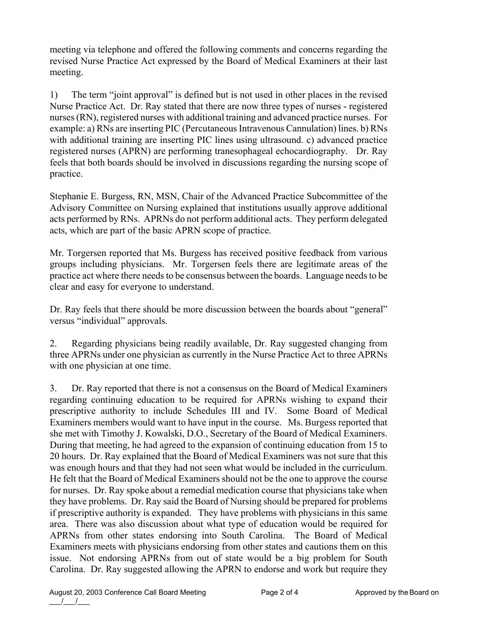meeting via telephone and offered the following comments and concerns regarding the revised Nurse Practice Act expressed by the Board of Medical Examiners at their last meeting.

1) The term "joint approval" is defined but is not used in other places in the revised Nurse Practice Act. Dr. Ray stated that there are now three types of nurses - registered nurses (RN), registered nurses with additional training and advanced practice nurses. For example: a) RNs are inserting PIC (Percutaneous Intravenous Cannulation) lines. b) RNs with additional training are inserting PIC lines using ultrasound. c) advanced practice registered nurses (APRN) are performing tranesophageal echocardiography. Dr. Ray feels that both boards should be involved in discussions regarding the nursing scope of practice.

Stephanie E. Burgess, RN, MSN, Chair of the Advanced Practice Subcommittee of the Advisory Committee on Nursing explained that institutions usually approve additional acts performed by RNs. APRNs do not perform additional acts. They perform delegated acts, which are part of the basic APRN scope of practice.

Mr. Torgersen reported that Ms. Burgess has received positive feedback from various groups including physicians. Mr. Torgersen feels there are legitimate areas of the practice act where there needs to be consensus between the boards. Language needs to be clear and easy for everyone to understand.

Dr. Ray feels that there should be more discussion between the boards about "general" versus "individual" approvals.

2. Regarding physicians being readily available, Dr. Ray suggested changing from three APRNs under one physician as currently in the Nurse Practice Act to three APRNs with one physician at one time.

3. Dr. Ray reported that there is not a consensus on the Board of Medical Examiners regarding continuing education to be required for APRNs wishing to expand their prescriptive authority to include Schedules III and IV. Some Board of Medical Examiners members would want to have input in the course. Ms. Burgess reported that she met with Timothy J. Kowalski, D.O., Secretary of the Board of Medical Examiners. During that meeting, he had agreed to the expansion of continuing education from 15 to 20 hours. Dr. Ray explained that the Board of Medical Examiners was not sure that this was enough hours and that they had not seen what would be included in the curriculum. He felt that the Board of Medical Examiners should not be the one to approve the course for nurses. Dr. Ray spoke about a remedial medication course that physicians take when they have problems. Dr. Ray said the Board of Nursing should be prepared for problems if prescriptive authority is expanded. They have problems with physicians in this same area. There was also discussion about what type of education would be required for APRNs from other states endorsing into South Carolina. The Board of Medical Examiners meets with physicians endorsing from other states and cautions them on this issue. Not endorsing APRNs from out of state would be a big problem for South Carolina. Dr. Ray suggested allowing the APRN to endorse and work but require they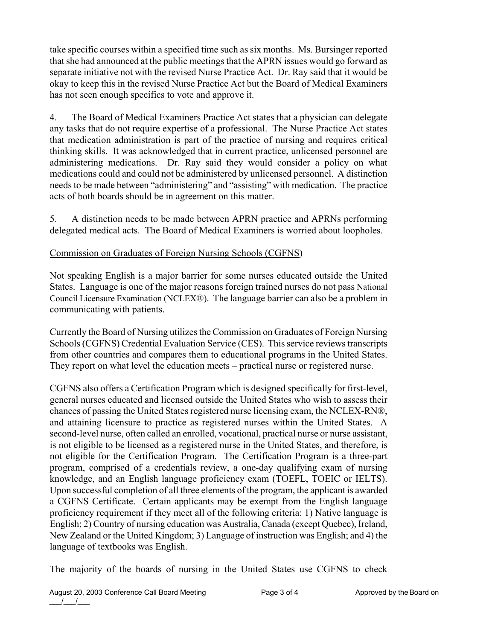take specific courses within a specified time such as six months. Ms. Bursinger reported that she had announced at the public meetings that the APRN issues would go forward as separate initiative not with the revised Nurse Practice Act. Dr. Ray said that it would be okay to keep this in the revised Nurse Practice Act but the Board of Medical Examiners has not seen enough specifics to vote and approve it.

4. The Board of Medical Examiners Practice Act states that a physician can delegate any tasks that do not require expertise of a professional. The Nurse Practice Act states that medication administration is part of the practice of nursing and requires critical thinking skills. It was acknowledged that in current practice, unlicensed personnel are administering medications. Dr. Ray said they would consider a policy on what medications could and could not be administered by unlicensed personnel. A distinction needs to be made between "administering" and "assisting" with medication. The practice acts of both boards should be in agreement on this matter.

5. A distinction needs to be made between APRN practice and APRNs performing delegated medical acts. The Board of Medical Examiners is worried about loopholes.

## Commission on Graduates of Foreign Nursing Schools (CGFNS)

Not speaking English is a major barrier for some nurses educated outside the United States. Language is one of the major reasons foreign trained nurses do not pass National Council Licensure Examination (NCLEX®). The language barrier can also be a problem in communicating with patients.

Currently the Board of Nursing utilizes the Commission on Graduates of Foreign Nursing Schools (CGFNS) Credential Evaluation Service (CES). This service reviews transcripts from other countries and compares them to educational programs in the United States. They report on what level the education meets – practical nurse or registered nurse.

CGFNS also offers a Certification Program which is designed specifically for first-level, general nurses educated and licensed outside the United States who wish to assess their chances of passing the United States registered nurse licensing exam, the NCLEX-RN®, and attaining licensure to practice as registered nurses within the United States. A second-level nurse, often called an enrolled, vocational, practical nurse or nurse assistant, is not eligible to be licensed as a registered nurse in the United States, and therefore, is not eligible for the Certification Program. The Certification Program is a three-part program, comprised of a credentials review, a one-day qualifying exam of nursing knowledge, and an English language proficiency exam (TOEFL, TOEIC or IELTS). Upon successful completion of all three elements of the program, the applicant is awarded a CGFNS Certificate. Certain applicants may be exempt from the English language proficiency requirement if they meet all of the following criteria: 1) Native language is English; 2) Country of nursing education was Australia, Canada (except Quebec), Ireland, New Zealand or the United Kingdom; 3) Language of instruction was English; and 4) the language of textbooks was English.

The majority of the boards of nursing in the United States use CGFNS to check